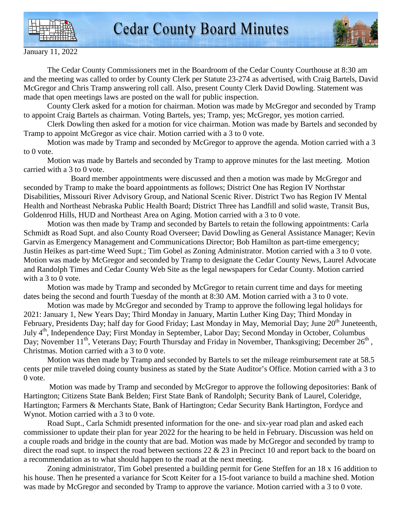



January 11, 2022

 The Cedar County Commissioners met in the Boardroom of the Cedar County Courthouse at 8:30 am and the meeting was called to order by County Clerk per Statute 23-274 as advertised, with Craig Bartels, David McGregor and Chris Tramp answering roll call. Also, present County Clerk David Dowling. Statement was made that open meetings laws are posted on the wall for public inspection.

 County Clerk asked for a motion for chairman. Motion was made by McGregor and seconded by Tramp to appoint Craig Bartels as chairman. Voting Bartels, yes; Tramp, yes; McGregor, yes motion carried.

 Clerk Dowling then asked for a motion for vice chairman. Motion was made by Bartels and seconded by Tramp to appoint McGregor as vice chair. Motion carried with a 3 to 0 vote.

 Motion was made by Tramp and seconded by McGregor to approve the agenda. Motion carried with a 3 to 0 vote.

 Motion was made by Bartels and seconded by Tramp to approve minutes for the last meeting. Motion carried with a 3 to 0 vote.

 Board member appointments were discussed and then a motion was made by McGregor and seconded by Tramp to make the board appointments as follows; District One has Region IV Northstar Disabilities, Missouri River Advisory Group, and National Scenic River. District Two has Region IV Mental Health and Northeast Nebraska Public Health Board; District Three has Landfill and solid waste, Transit Bus, Goldenrod Hills, HUD and Northeast Area on Aging. Motion carried with a 3 to 0 vote.

 Motion was then made by Tramp and seconded by Bartels to retain the following appointments: Carla Schmidt as Road Supt. and also County Road Overseer; David Dowling as General Assistance Manager; Kevin Garvin as Emergency Management and Communications Director; Bob Hamilton as part-time emergency; Justin Heikes as part-time Weed Supt.; Tim Gobel as Zoning Administrator. Motion carried with a 3 to 0 vote. Motion was made by McGregor and seconded by Tramp to designate the Cedar County News, Laurel Advocate and Randolph Times and Cedar County Web Site as the legal newspapers for Cedar County. Motion carried with a 3 to 0 vote.

 Motion was made by Tramp and seconded by McGregor to retain current time and days for meeting dates being the second and fourth Tuesday of the month at 8:30 AM. Motion carried with a 3 to 0 vote.

 Motion was made by McGregor and seconded by Tramp to approve the following legal holidays for 2021: January 1, New Years Day; Third Monday in January, Martin Luther King Day; Third Monday in February, Presidents Day; half day for Good Friday; Last Monday in May, Memorial Day; June 20<sup>th</sup> Juneteenth, July 4th, Independence Day; First Monday in September, Labor Day; Second Monday in October, Columbus Day; November 11<sup>th</sup>, Veterans Day; Fourth Thursday and Friday in November, Thanksgiving; December  $26<sup>th</sup>$ , Christmas. Motion carried with a 3 to 0 vote.

 Motion was then made by Tramp and seconded by Bartels to set the mileage reimbursement rate at 58.5 cents per mile traveled doing county business as stated by the State Auditor's Office. Motion carried with a 3 to 0 vote.

 Motion was made by Tramp and seconded by McGregor to approve the following depositories: Bank of Hartington; Citizens State Bank Belden; First State Bank of Randolph; Security Bank of Laurel, Coleridge, Hartington; Farmers & Merchants State, Bank of Hartington; Cedar Security Bank Hartington, Fordyce and Wynot. Motion carried with a 3 to 0 vote.

 Road Supt., Carla Schmidt presented information for the one- and six-year road plan and asked each commissioner to update their plan for year 2022 for the hearing to be held in February. Discussion was held on a couple roads and bridge in the county that are bad. Motion was made by McGregor and seconded by tramp to direct the road supt. to inspect the road between sections  $22 \& 23$  in Precinct 10 and report back to the board on a recommendation as to what should happen to the road at the next meeting.

 Zoning administrator, Tim Gobel presented a building permit for Gene Steffen for an 18 x 16 addition to his house. Then he presented a variance for Scott Keiter for a 15-foot variance to build a machine shed. Motion was made by McGregor and seconded by Tramp to approve the variance. Motion carried with a 3 to 0 vote.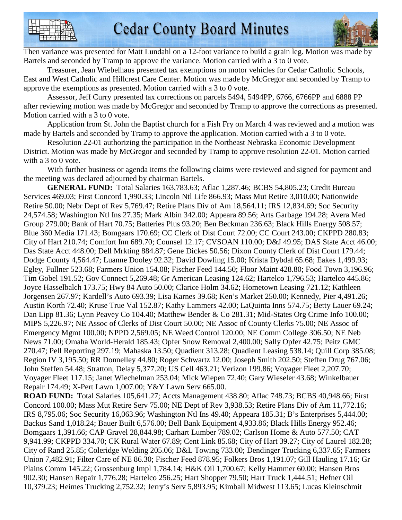

Then variance was presented for Matt Lundahl on a 12-foot variance to build a grain leg. Motion was made by Bartels and seconded by Tramp to approve the variance. Motion carried with a 3 to 0 vote.

 Treasurer, Jean Wiebelhaus presented tax exemptions on motor vehicles for Cedar Catholic Schools, East and West Catholic and Hillcrest Care Center. Motion was made by McGregor and seconded by Tramp to approve the exemptions as presented. Motion carried with a 3 to 0 vote.

 Assessor, Jeff Curry presented tax corrections on parcels 5494, 5494PP, 6766, 6766PP and 6888 PP after reviewing motion was made by McGregor and seconded by Tramp to approve the corrections as presented. Motion carried with a 3 to 0 vote.

 Application from St. John the Baptist church for a Fish Fry on March 4 was reviewed and a motion was made by Bartels and seconded by Tramp to approve the application. Motion carried with a 3 to 0 vote.

 Resolution 22-01 authorizing the participation in the Northeast Nebraska Economic Development District. Motion was made by McGregor and seconded by Tramp to approve resolution 22-01. Motion carried with a 3 to 0 vote.

 With further business or agenda items the following claims were reviewed and signed for payment and the meeting was declared adjourned by chairman Bartels.

**GENERAL FUND:** Total Salaries 163,783.63; Aflac 1,287.46; BCBS 54,805.23; Credit Bureau Services 469.03; First Concord 1,990.33; Lincoln Ntl Life 866.93; Mass Mut Retire 3,010.00; Nationwide Retire 50.00; Nebr Dept of Rev 5,769.47; Retire Plans Div of Am 18,564.11; IRS 12,834.69; Soc Security 24,574.58; Washington Ntl Ins 27.35; Mark Albin 342.00; Appeara 89.56; Arts Garbage 194.28; Avera Med Group 279.00; Bank of Hart 70.75; Batteries Plus 93.20; Ben Beckman 236.63; Black Hills Energy 508.57; Blue 360 Media 171.43; Bomgaars 170.69; CC Clerk of Dist Court 72.00; CC Court 243.00; CKPPD 280.83; City of Hart 210.74; Comfort Inn 689.70; Counsel 12.17; CVSOAN 110.00; D&J 49.95; DAS State Acct 46.00; Das State Acct 448.00; Dell Mrkting 884.87; Gene Dickes 50.56; Dixon County Clerk of Dist Court 179.44; Dodge County 4,564.47; Luanne Dooley 92.32; David Dowling 15.00; Krista Dybdal 65.68; Eakes 1,499.93; Egley, Fullner 523.68; Farmers Union 154.08; Fischer Feed 144.50; Floor Maint 428.80; Food Town 3,196.96; Tim Gobel 191.52; Gov Connect 5,269.48; Gr American Leasing 124.62; Hartelco 1,796.53; Hartelco 445.86; Joyce Hasselbalch 173.75; Hwy 84 Auto 50.00; Clarice Holm 34.62; Hometown Leasing 721.12; Kathleen Jorgensen 267.97; Kardell's Auto 693.39; Lisa Karnes 39.68; Ken's Market 250.00; Kennedy, Pier 4,491.26; Austin Korth 72.40; Kruse True Val 152.87; Kathy Lammers 42.00; LaQuinta Inns 574.75; Betty Lauer 69.24; Dan Lipp 81.36; Lynn Peavey Co 104.40; Matthew Bender & Co 281.31; Mid-States Org Crime Info 100.00; MIPS 5,226.97; NE Assoc of Clerks of Dist Court 50.00; NE Assoc of County Clerks 75.00; NE Assoc of Emergency Mgmt 100.00; NPPD 2,569.05; NE Weed Control 120.00; NE Comm College 306.50; NE Neb News 71.00; Omaha World-Herald 185.43; Opfer Snow Removal 2,400.00; Sally Opfer 42.75; Peitz GMC 270.47; Pell Reporting 297.19; Mahaska 13.50; Quadient 313.28; Quadient Leasing 538.14; Quill Corp 385.08; Region IV 3,195.50; RR Donnelley 44.80; Roger Schwartz 12.00; Joseph Smith 202.50; Steffen Drug 767.06; John Steffen 54.48; Stratton, Delay 5,377.20; US Cell 463.21; Verizon 199.86; Voyager Fleet 2,207.70; Voyager Fleet 117.15; Janet Wiechelman 253.04; Mick Wiepen 72.40; Gary Wieseler 43.68; Winkelbauer Repair 174.49; X-Pert Lawn 1,007.00; Y&Y Lawn Serv 665.00.

**ROAD FUND:** Total Salaries 105,641.27; Accts Management 438.80; Aflac 748.73; BCBS 40,948.66; First Concord 100.00; Mass Mut Retire Serv 75.00; NE Dept of Rev 3,938.53; Retire Plans Div of Am 11,772.16; IRS 8,795.06; Soc Security 16,063.96; Washington Ntl Ins 49.40; Appeara 185.31; B's Enterprises 5,444.00; Backus Sand 1,018.24; Bauer Built 6,576.00; Bell Bank Equipment 4,933.86; Black Hills Energy 952.46; Bomgaars 1,391.66; CAP Gravel 28,844.98; Carhart Lumber 789.02; Carlson Home & Auto 577.50; CAT 9,941.99; CKPPD 334.70; CK Rural Water 67.89; Cent Link 85.68; City of Hart 39.27; City of Laurel 182.28; City of Rand 25.85; Coleridge Welding 205.06; D&L Towing 733.00; Dendinger Trucking 6,337.65; Farmers Union 7,482.91; Filter Care of NE 86.30; Fischer Feed 878.95; Folkers Bros 1,191.07; Gill Hauling 17.16; Gr Plains Comm 145.22; Grossenburg Impl 1,784.14; H&K Oil 1,700.67; Kelly Hammer 60.00; Hansen Bros 902.30; Hansen Repair 1,776.28; Hartelco 256.25; Hart Shopper 79.50; Hart Truck 1,444.51; Hefner Oil 10,379.23; Heimes Trucking 2,752.32; Jerry's Serv 5,893.95; Kimball Midwest 113.65; Lucas Kleinschmit